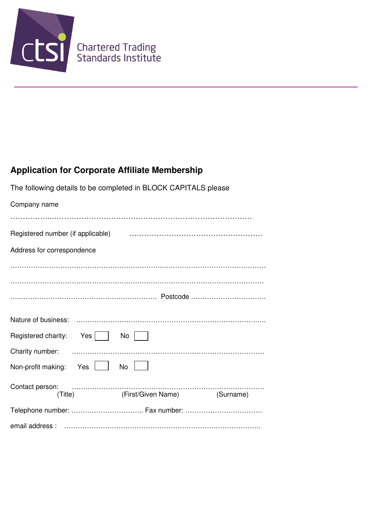

# **Application for Corporate Affiliate Membership**

| The following details to be completed in BLOCK CAPITALS please |                                                                                                                                                                                                                                                                                                                                                                                                                                                                                                                                |  |
|----------------------------------------------------------------|--------------------------------------------------------------------------------------------------------------------------------------------------------------------------------------------------------------------------------------------------------------------------------------------------------------------------------------------------------------------------------------------------------------------------------------------------------------------------------------------------------------------------------|--|
| Company name                                                   |                                                                                                                                                                                                                                                                                                                                                                                                                                                                                                                                |  |
|                                                                |                                                                                                                                                                                                                                                                                                                                                                                                                                                                                                                                |  |
|                                                                |                                                                                                                                                                                                                                                                                                                                                                                                                                                                                                                                |  |
| Address for correspondence                                     |                                                                                                                                                                                                                                                                                                                                                                                                                                                                                                                                |  |
|                                                                |                                                                                                                                                                                                                                                                                                                                                                                                                                                                                                                                |  |
|                                                                |                                                                                                                                                                                                                                                                                                                                                                                                                                                                                                                                |  |
|                                                                |                                                                                                                                                                                                                                                                                                                                                                                                                                                                                                                                |  |
|                                                                |                                                                                                                                                                                                                                                                                                                                                                                                                                                                                                                                |  |
| Registered charity: Yes                                        | No                                                                                                                                                                                                                                                                                                                                                                                                                                                                                                                             |  |
|                                                                |                                                                                                                                                                                                                                                                                                                                                                                                                                                                                                                                |  |
| Non-profit making: Yes $\boxed{\phantom{a}}$                   | No                                                                                                                                                                                                                                                                                                                                                                                                                                                                                                                             |  |
| Contact person:                                                | $\begin{minipage}{.4\linewidth} \begin{tabular}{l} \hline \multicolumn{3}{l}{} & \multicolumn{3}{l}{} & \multicolumn{3}{l}{} & \multicolumn{3}{l}{} & \multicolumn{3}{l}{} & \multicolumn{3}{l}{} & \multicolumn{3}{l}{} & \multicolumn{3}{l}{} & \multicolumn{3}{l}{} & \multicolumn{3}{l}{} & \multicolumn{3}{l}{} & \multicolumn{3}{l}{} & \multicolumn{3}{l}{} & \multicolumn{3}{l}{} & \multicolumn{3}{l}{} & \multicolumn{3}{l}{} & \multicolumn{3}{l}{} & \multicolumn{3}{l}{}$<br>(Title) (First/Given Name) (Surname) |  |
| Telephone number:  Fax number:                                 |                                                                                                                                                                                                                                                                                                                                                                                                                                                                                                                                |  |
|                                                                |                                                                                                                                                                                                                                                                                                                                                                                                                                                                                                                                |  |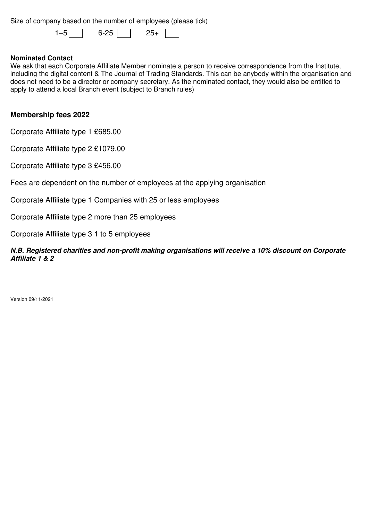Size of company based on the number of employees (please tick)

 $1-5$  6-25 25+

# **Nominated Contact**

We ask that each Corporate Affiliate Member nominate a person to receive correspondence from the Institute, including the digital content & The Journal of Trading Standards. This can be anybody within the organisation and does not need to be a director or company secretary. As the nominated contact, they would also be entitled to apply to attend a local Branch event (subject to Branch rules)

# **Membership fees 2022**

Corporate Affiliate type 1 £685.00

Corporate Affiliate type 2 £1079.00

Corporate Affiliate type 3 £456.00

Fees are dependent on the number of employees at the applying organisation

Corporate Affiliate type 1 Companies with 25 or less employees

Corporate Affiliate type 2 more than 25 employees

Corporate Affiliate type 3 1 to 5 employees

**N.B. Registered charities and non-profit making organisations will receive a 10% discount on Corporate Affiliate 1 & 2**

Version 09/11/2021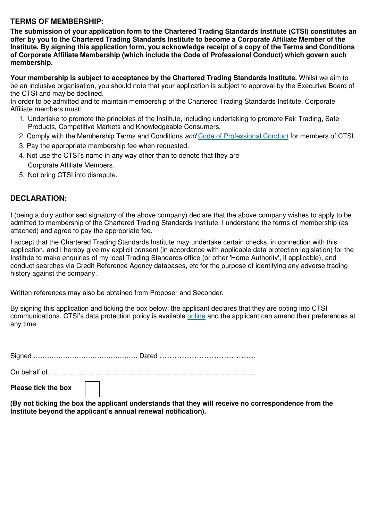# **TERMS OF MEMBERSHIP**:

**The submission of your application form to the Chartered Trading Standards Institute (CTSI) constitutes an offer by you to the Chartered Trading Standards Institute to become a Corporate Affiliate Member of the Institute. By signing this application form, you acknowledge receipt of a copy of the Terms and Conditions of Corporate Affiliate Membership (which include the Code of Professional Conduct) which govern such membership.** 

**Your membership is subject to acceptance by the Chartered Trading Standards Institute.** Whilst we aim to be an inclusive organisation, you should note that your application is subject to approval by the Executive Board of the CTSI and may be declined.

In order to be admitted and to maintain membership of the Chartered Trading Standards Institute, Corporate Affiliate members must:

- 1. Undertake to promote the principles of the Institute, including undertaking to promote Fair Trading, Safe Products, Competitive Markets and Knowledgeable Consumers.
- 2. Comply with the Membership Terms and Conditions and Code of Professional Conduct for members of CTSI.
- 3. Pay the appropriate membership fee when requested.
- 4. Not use the CTSI's name in any way other than to denote that they are Corporate Affiliate Members.
- 5. Not bring CTSI into disrepute.

# **DECLARATION:**

I (being a duly authorised signatory of the above company) declare that the above company wishes to apply to be admitted to membership of the Chartered Trading Standards Institute. I understand the terms of membership (as attached) and agree to pay the appropriate fee.

I accept that the Chartered Trading Standards Institute may undertake certain checks, in connection with this application, and I hereby give my explicit consent (in accordance with applicable data protection legislation) for the Institute to make enquiries of my local Trading Standards office (or other 'Home Authority', if applicable), and conduct searches via Credit Reference Agency databases, etc for the purpose of identifying any adverse trading history against the company.

Written references may also be obtained from Proposer and Seconder.

By signing this application and ticking the box below; the applicant declares that they are opting into CTSI communications. CTSI's data protection policy is available online and the applicant can amend their preferences at any time.

Signed ………………………………………. Dated …………………………………

On behalf of………………………………………………………………………………..

**Please tick the box** 

**(By not ticking the box the applicant understands that they will receive no correspondence from the Institute beyond the applicant's annual renewal notification).**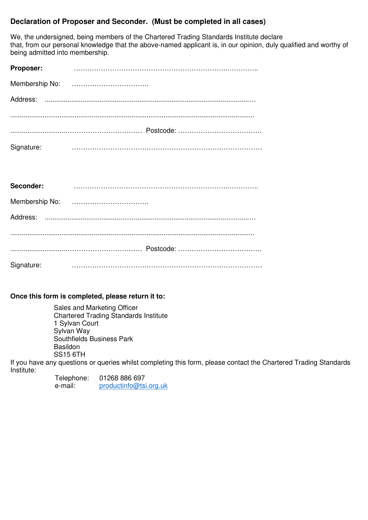# **Declaration of Proposer and Seconder. (Must be completed in all cases)**

We, the undersigned, being members of the Chartered Trading Standards Institute declare that, from our personal knowledge that the above-named applicant is, in our opinion, duly qualified and worthy of being admitted into membership.

| Proposer:  |  |
|------------|--|
|            |  |
| Address:   |  |
|            |  |
| Signature: |  |

| Seconder:  |  |
|------------|--|
|            |  |
|            |  |
|            |  |
|            |  |
| Signature: |  |

**Once this form is completed, please return it to:**

Sales and Marketing Officer Chartered Trading Standards Institute 1 Sylvan Court Sylvan Way Southfields Business Park Basildon SS15 6TH

If you have any questions or queries whilst completing this form, please contact the Chartered Trading Standards Institute:

| Telephone: | 01268 886 697          |
|------------|------------------------|
| e-mail:    | productinfo@tsi.org.uk |